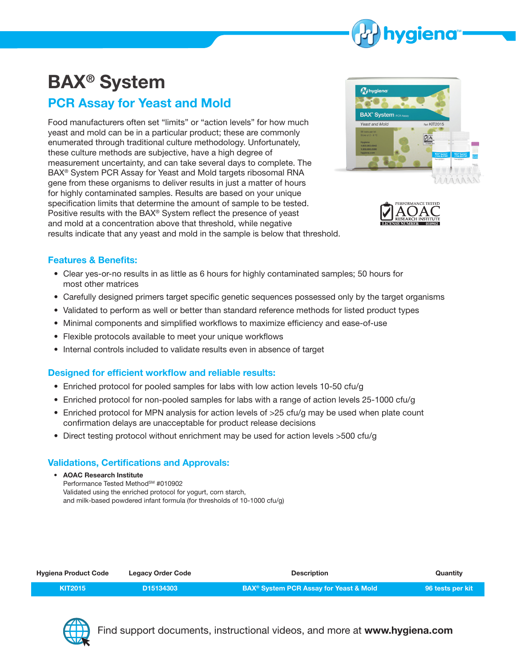

# **BAX® System**

## **PCR Assay for Yeast and Mold**

Food manufacturers often set "limits" or "action levels" for how much yeast and mold can be in a particular product; these are commonly enumerated through traditional culture methodology. Unfortunately, these culture methods are subjective, have a high degree of measurement uncertainty, and can take several days to complete. The BAX® System PCR Assay for Yeast and Mold targets ribosomal RNA gene from these organisms to deliver results in just a matter of hours for highly contaminated samples. Results are based on your unique specification limits that determine the amount of sample to be tested. Positive results with the BAX® System reflect the presence of yeast and mold at a concentration above that threshold, while negative results indicate that any yeast and mold in the sample is below that threshold.





### **Features & Benefits:**

- Clear yes-or-no results in as little as 6 hours for highly contaminated samples; 50 hours for most other matrices
- Carefully designed primers target specific genetic sequences possessed only by the target organisms
- Validated to perform as well or better than standard reference methods for listed product types
- Minimal components and simplified workflows to maximize efficiency and ease-of-use
- Flexible protocols available to meet your unique workflows
- Internal controls included to validate results even in absence of target

### **Designed for efficient workflow and reliable results:**

- Enriched protocol for pooled samples for labs with low action levels 10-50 cfu/g
- Enriched protocol for non-pooled samples for labs with a range of action levels 25-1000 cfu/g
- Enriched protocol for MPN analysis for action levels of >25 cfu/g may be used when plate count confirmation delays are unacceptable for product release decisions
- Direct testing protocol without enrichment may be used for action levels >500 cfu/g

### **Validations, Certifications and Approvals:**

• **AOAC Research Institute**  Performance Tested Method<sup>SM</sup> #010902 Validated using the enriched protocol for yogurt, corn starch, and milk-based powdered infant formula (for thresholds of 10-1000 cfu/g)

| <b>Hygiena Product Code</b> | <b>Legacy Order Code</b> | <b>Description</b>                                           | Quantity         |
|-----------------------------|--------------------------|--------------------------------------------------------------|------------------|
| <b>KIT2015</b>              | D <sub>15134303</sub>    | <b>BAX<sup>®</sup> System PCR Assay for Yeast &amp; Mold</b> | 96 tests per kit |